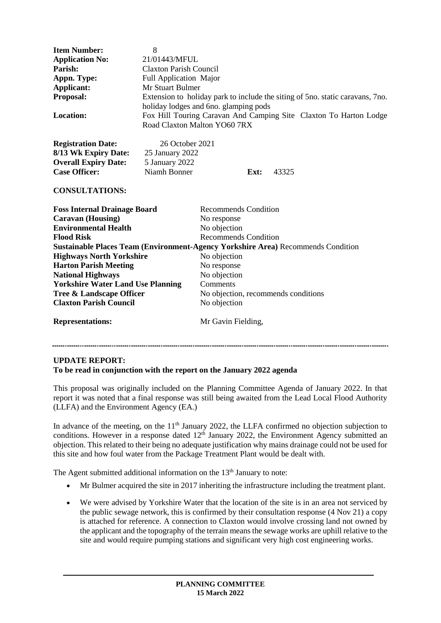| <b>Item Number:</b><br><b>Application No:</b><br>Parish:<br>Appn. Type:<br>Applicant:<br>Proposal:<br><b>Location:</b>            | 8<br>21/01443/MFUL<br><b>Claxton Parish Council</b><br>Full Application Major<br>Mr Stuart Bulmer<br>Extension to holiday park to include the siting of 5 no. static caravans, 7 no.<br>holiday lodges and 6no. glamping pods<br>Fox Hill Touring Caravan And Camping Site Claxton To Harton Lodge<br>Road Claxton Malton YO60 7RX |                                     |      |       |
|-----------------------------------------------------------------------------------------------------------------------------------|------------------------------------------------------------------------------------------------------------------------------------------------------------------------------------------------------------------------------------------------------------------------------------------------------------------------------------|-------------------------------------|------|-------|
| <b>Registration Date:</b><br>8/13 Wk Expiry Date:<br><b>Overall Expiry Date:</b><br><b>Case Officer:</b><br><b>CONSULTATIONS:</b> | 26 October 2021<br>25 January 2022<br>5 January 2022<br>Niamh Bonner                                                                                                                                                                                                                                                               |                                     | Ext: | 43325 |
| <b>Foss Internal Drainage Board</b>                                                                                               |                                                                                                                                                                                                                                                                                                                                    | Recommends Condition                |      |       |
| <b>Caravan</b> (Housing)                                                                                                          |                                                                                                                                                                                                                                                                                                                                    | No response                         |      |       |
| <b>Environmental Health</b>                                                                                                       |                                                                                                                                                                                                                                                                                                                                    | No objection                        |      |       |
| <b>Flood Risk</b>                                                                                                                 |                                                                                                                                                                                                                                                                                                                                    | <b>Recommends Condition</b>         |      |       |
| Sustainable Places Team (Environment-Agency Yorkshire Area) Recommends Condition                                                  |                                                                                                                                                                                                                                                                                                                                    |                                     |      |       |
| <b>Highways North Yorkshire</b>                                                                                                   |                                                                                                                                                                                                                                                                                                                                    | No objection                        |      |       |
| <b>Harton Parish Meeting</b>                                                                                                      |                                                                                                                                                                                                                                                                                                                                    | No response                         |      |       |
| <b>National Highways</b>                                                                                                          |                                                                                                                                                                                                                                                                                                                                    | No objection                        |      |       |
| <b>Yorkshire Water Land Use Planning</b>                                                                                          |                                                                                                                                                                                                                                                                                                                                    | Comments                            |      |       |
| <b>Tree &amp; Landscape Officer</b>                                                                                               |                                                                                                                                                                                                                                                                                                                                    | No objection, recommends conditions |      |       |
| <b>Claxton Parish Council</b>                                                                                                     |                                                                                                                                                                                                                                                                                                                                    | No objection                        |      |       |
|                                                                                                                                   |                                                                                                                                                                                                                                                                                                                                    |                                     |      |       |

**Representations:** Mr Gavin Fielding,

## **UPDATE REPORT:**

## **To be read in conjunction with the report on the January 2022 agenda**

This proposal was originally included on the Planning Committee Agenda of January 2022. In that report it was noted that a final response was still being awaited from the Lead Local Flood Authority (LLFA) and the Environment Agency (EA.)

In advance of the meeting, on the  $11<sup>th</sup>$  January 2022, the LLFA confirmed no objection subjection to conditions. However in a response dated  $12<sup>th</sup>$  January 2022, the Environment Agency submitted an objection. This related to their being no adequate justification why mains drainage could not be used for this site and how foul water from the Package Treatment Plant would be dealt with.

The Agent submitted additional information on the  $13<sup>th</sup>$  January to note:

- Mr Bulmer acquired the site in 2017 inheriting the infrastructure including the treatment plant.
- We were advised by Yorkshire Water that the location of the site is in an area not serviced by the public sewage network, this is confirmed by their consultation response (4 Nov 21) a copy is attached for reference. A connection to Claxton would involve crossing land not owned by the applicant and the topography of the terrain means the sewage works are uphill relative to the site and would require pumping stations and significant very high cost engineering works.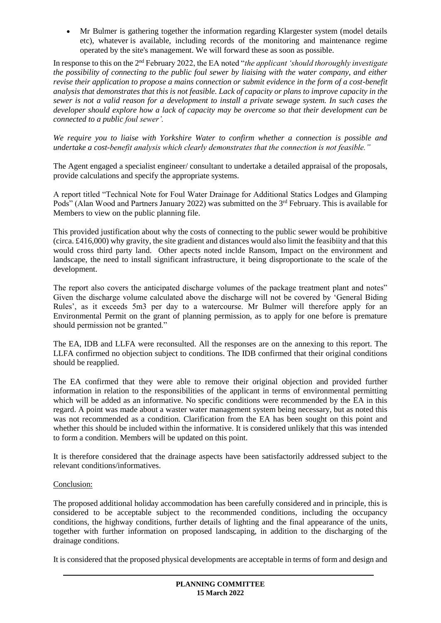Mr Bulmer is gathering together the information regarding Klargester system (model details etc), whatever is available, including records of the monitoring and maintenance regime operated by the site's management. We will forward these as soon as possible.

In response to this on the 2nd February 2022, the EA noted "*the applicant 'should thoroughly investigate the possibility of connecting to the public foul sewer by liaising with the water company, and either revise their application to propose a mains connection or submit evidence in the form of a cost-benefit analysis that demonstrates that this is not feasible. Lack of capacity or plans to improve capacity in the sewer is not a valid reason for a development to install a private sewage system. In such cases the developer should explore how a lack of capacity may be overcome so that their development can be connected to a public foul sewer'.*

*We require you to liaise with Yorkshire Water to confirm whether a connection is possible and undertake a cost-benefit analysis which clearly demonstrates that the connection is not feasible."*

The Agent engaged a specialist engineer/ consultant to undertake a detailed appraisal of the proposals, provide calculations and specify the appropriate systems.

A report titled "Technical Note for Foul Water Drainage for Additional Statics Lodges and Glamping Pods" (Alan Wood and Partners January 2022) was submitted on the 3rd February. This is available for Members to view on the public planning file.

This provided justification about why the costs of connecting to the public sewer would be prohibitive (circa. £416,000) why gravity, the site gradient and distances would also limit the feasibiity and that this would cross third party land. Other apects noted inclde Ransom, Impact on the environment and landscape, the need to install significant infrastructure, it being disproportionate to the scale of the development.

The report also covers the anticipated discharge volumes of the package treatment plant and notes" Given the discharge volume calculated above the discharge will not be covered by 'General Biding Rules', as it exceeds 5m3 per day to a watercourse. Mr Bulmer will therefore apply for an Environmental Permit on the grant of planning permission, as to apply for one before is premature should permission not be granted."

The EA, IDB and LLFA were reconsulted. All the responses are on the annexing to this report. The LLFA confirmed no objection subject to conditions. The IDB confirmed that their original conditions should be reapplied.

The EA confirmed that they were able to remove their original objection and provided further information in relation to the responsibilities of the applicant in terms of environmental permitting which will be added as an informative. No specific conditions were recommended by the EA in this regard. A point was made about a waster water management system being necessary, but as noted this was not recommended as a condition. Clarification from the EA has been sought on this point and whether this should be included within the informative. It is considered unlikely that this was intended to form a condition. Members will be updated on this point.

It is therefore considered that the drainage aspects have been satisfactorily addressed subject to the relevant conditions/informatives.

## Conclusion:

The proposed additional holiday accommodation has been carefully considered and in principle, this is considered to be acceptable subject to the recommended conditions, including the occupancy conditions, the highway conditions, further details of lighting and the final appearance of the units, together with further information on proposed landscaping, in addition to the discharging of the drainage conditions.

It is considered that the proposed physical developments are acceptable in terms of form and design and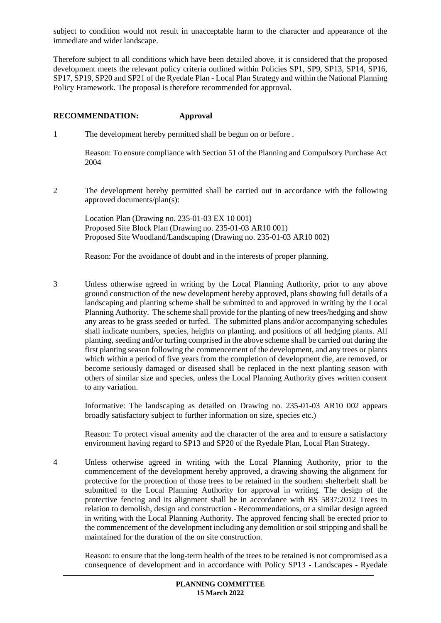subject to condition would not result in unacceptable harm to the character and appearance of the immediate and wider landscape.

Therefore subject to all conditions which have been detailed above, it is considered that the proposed development meets the relevant policy criteria outlined within Policies SP1, SP9, SP13, SP14, SP16, SP17, SP19, SP20 and SP21 of the Ryedale Plan - Local Plan Strategy and within the National Planning Policy Framework. The proposal is therefore recommended for approval.

#### **RECOMMENDATION: Approval**

1 The development hereby permitted shall be begun on or before .

Reason: To ensure compliance with Section 51 of the Planning and Compulsory Purchase Act 2004

2 The development hereby permitted shall be carried out in accordance with the following approved documents/plan(s):

Location Plan (Drawing no. 235-01-03 EX 10 001) Proposed Site Block Plan (Drawing no. 235-01-03 AR10 001) Proposed Site Woodland/Landscaping (Drawing no. 235-01-03 AR10 002)

Reason: For the avoidance of doubt and in the interests of proper planning.

3 Unless otherwise agreed in writing by the Local Planning Authority, prior to any above ground construction of the new development hereby approved, plans showing full details of a landscaping and planting scheme shall be submitted to and approved in writing by the Local Planning Authority. The scheme shall provide for the planting of new trees/hedging and show any areas to be grass seeded or turfed. The submitted plans and/or accompanying schedules shall indicate numbers, species, heights on planting, and positions of all hedging plants. All planting, seeding and/or turfing comprised in the above scheme shall be carried out during the first planting season following the commencement of the development, and any trees or plants which within a period of five years from the completion of development die, are removed, or become seriously damaged or diseased shall be replaced in the next planting season with others of similar size and species, unless the Local Planning Authority gives written consent to any variation.

Informative: The landscaping as detailed on Drawing no. 235-01-03 AR10 002 appears broadly satisfactory subject to further information on size, species etc.)

Reason: To protect visual amenity and the character of the area and to ensure a satisfactory environment having regard to SP13 and SP20 of the Ryedale Plan, Local Plan Strategy.

4 Unless otherwise agreed in writing with the Local Planning Authority, prior to the commencement of the development hereby approved, a drawing showing the alignment for protective for the protection of those trees to be retained in the southern shelterbelt shall be submitted to the Local Planning Authority for approval in writing. The design of the protective fencing and its alignment shall be in accordance with BS 5837:2012 Trees in relation to demolish, design and construction - Recommendations, or a similar design agreed in writing with the Local Planning Authority. The approved fencing shall be erected prior to the commencement of the development including any demolition or soil stripping and shall be maintained for the duration of the on site construction.

Reason: to ensure that the long-term health of the trees to be retained is not compromised as a consequence of development and in accordance with Policy SP13 - Landscapes - Ryedale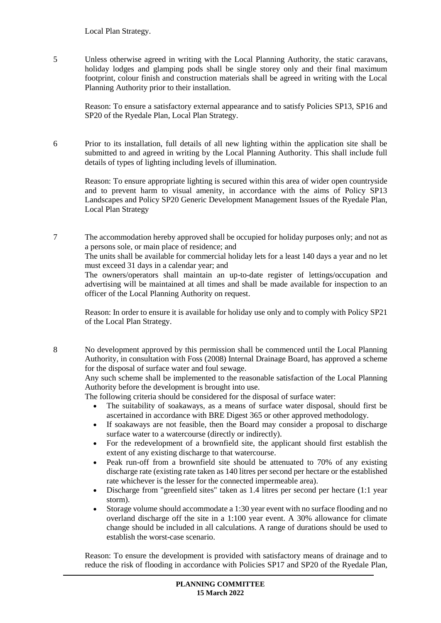#### Local Plan Strategy.

5 Unless otherwise agreed in writing with the Local Planning Authority, the static caravans, holiday lodges and glamping pods shall be single storey only and their final maximum footprint, colour finish and construction materials shall be agreed in writing with the Local Planning Authority prior to their installation.

Reason: To ensure a satisfactory external appearance and to satisfy Policies SP13, SP16 and SP20 of the Ryedale Plan, Local Plan Strategy.

6 Prior to its installation, full details of all new lighting within the application site shall be submitted to and agreed in writing by the Local Planning Authority. This shall include full details of types of lighting including levels of illumination.

Reason: To ensure appropriate lighting is secured within this area of wider open countryside and to prevent harm to visual amenity, in accordance with the aims of Policy SP13 Landscapes and Policy SP20 Generic Development Management Issues of the Ryedale Plan, Local Plan Strategy

7 The accommodation hereby approved shall be occupied for holiday purposes only; and not as a persons sole, or main place of residence; and

The units shall be available for commercial holiday lets for a least 140 days a year and no let must exceed 31 days in a calendar year; and

The owners/operators shall maintain an up-to-date register of lettings/occupation and advertising will be maintained at all times and shall be made available for inspection to an officer of the Local Planning Authority on request.

Reason: In order to ensure it is available for holiday use only and to comply with Policy SP21 of the Local Plan Strategy.

8 No development approved by this permission shall be commenced until the Local Planning Authority, in consultation with Foss (2008) Internal Drainage Board, has approved a scheme for the disposal of surface water and foul sewage.

Any such scheme shall be implemented to the reasonable satisfaction of the Local Planning Authority before the development is brought into use.

The following criteria should be considered for the disposal of surface water:

- The suitability of soakaways, as a means of surface water disposal, should first be ascertained in accordance with BRE Digest 365 or other approved methodology.
- If soakaways are not feasible, then the Board may consider a proposal to discharge surface water to a watercourse (directly or indirectly).
- For the redevelopment of a brownfield site, the applicant should first establish the extent of any existing discharge to that watercourse.
- Peak run-off from a brownfield site should be attenuated to 70% of any existing discharge rate (existing rate taken as 140 litres per second per hectare or the established rate whichever is the lesser for the connected impermeable area).
- Discharge from "greenfield sites" taken as 1.4 litres per second per hectare (1:1 year storm).
- Storage volume should accommodate a 1:30 year event with no surface flooding and no overland discharge off the site in a 1:100 year event. A 30% allowance for climate change should be included in all calculations. A range of durations should be used to establish the worst-case scenario.

Reason: To ensure the development is provided with satisfactory means of drainage and to reduce the risk of flooding in accordance with Policies SP17 and SP20 of the Ryedale Plan,